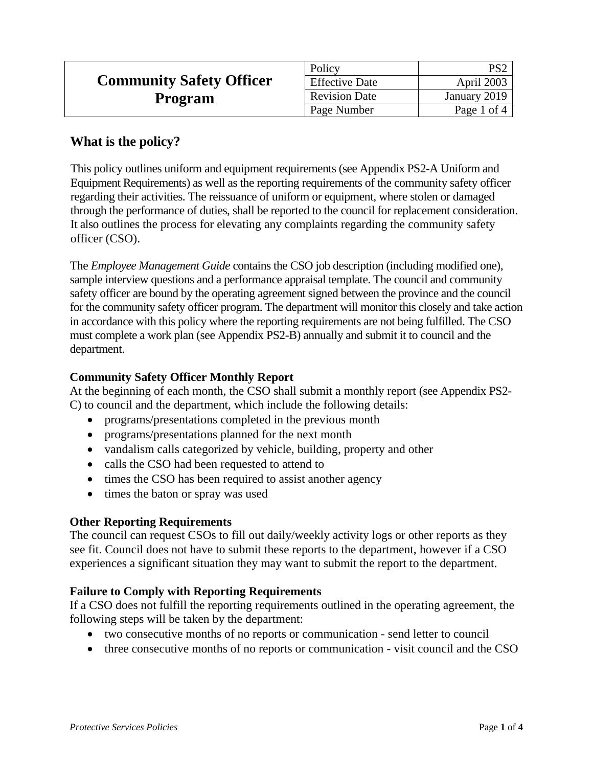|                                 | Policy                | PS2          |
|---------------------------------|-----------------------|--------------|
| <b>Community Safety Officer</b> | <b>Effective Date</b> | April 2003   |
| Program                         | <b>Revision Date</b>  | January 2019 |
|                                 | Page Number           | Page 1 of 4  |

## **What is the policy?**

This policy outlines uniform and equipment requirements (see Appendix PS2-A Uniform and Equipment Requirements) as well as the reporting requirements of the community safety officer regarding their activities. The reissuance of uniform or equipment, where stolen or damaged through the performance of duties, shall be reported to the council for replacement consideration. It also outlines the process for elevating any complaints regarding the community safety officer (CSO).

The *Employee Management Guide* contains the CSO job description (including modified one), sample interview questions and a performance appraisal template. The council and community safety officer are bound by the operating agreement signed between the province and the council for the community safety officer program. The department will monitor this closely and take action in accordance with this policy where the reporting requirements are not being fulfilled. The CSO must complete a work plan (see Appendix PS2-B) annually and submit it to council and the department.

#### **Community Safety Officer Monthly Report**

At the beginning of each month, the CSO shall submit a monthly report (see Appendix PS2- C) to council and the department, which include the following details:

- programs/presentations completed in the previous month
- programs/presentations planned for the next month
- vandalism calls categorized by vehicle, building, property and other
- calls the CSO had been requested to attend to
- times the CSO has been required to assist another agency
- times the baton or spray was used

#### **Other Reporting Requirements**

The council can request CSOs to fill out daily/weekly activity logs or other reports as they see fit. Council does not have to submit these reports to the department, however if a CSO experiences a significant situation they may want to submit the report to the department.

#### **Failure to Comply with Reporting Requirements**

If a CSO does not fulfill the reporting requirements outlined in the operating agreement, the following steps will be taken by the department:

- two consecutive months of no reports or communication send letter to council
- three consecutive months of no reports or communication visit council and the CSO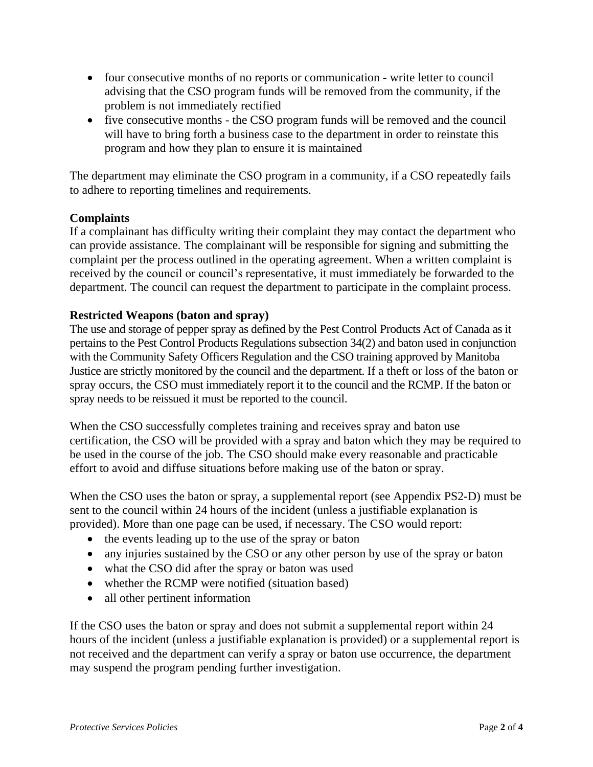- four consecutive months of no reports or communication write letter to council advising that the CSO program funds will be removed from the community, if the problem is not immediately rectified
- five consecutive months the CSO program funds will be removed and the council will have to bring forth a business case to the department in order to reinstate this program and how they plan to ensure it is maintained

The department may eliminate the CSO program in a community, if a CSO repeatedly fails to adhere to reporting timelines and requirements.

### **Complaints**

If a complainant has difficulty writing their complaint they may contact the department who can provide assistance. The complainant will be responsible for signing and submitting the complaint per the process outlined in the operating agreement. When a written complaint is received by the council or council's representative, it must immediately be forwarded to the department. The council can request the department to participate in the complaint process.

#### **Restricted Weapons (baton and spray)**

The use and storage of pepper spray as defined by the Pest Control Products Act of Canada as it pertains to the Pest Control Products Regulations subsection 34(2) and baton used in conjunction with the Community Safety Officers Regulation and the CSO training approved by Manitoba Justice are strictly monitored by the council and the department. If a theft or loss of the baton or spray occurs, the CSO must immediately report it to the council and the RCMP. If the baton or spray needs to be reissued it must be reported to the council.

When the CSO successfully completes training and receives spray and baton use certification, the CSO will be provided with a spray and baton which they may be required to be used in the course of the job. The CSO should make every reasonable and practicable effort to avoid and diffuse situations before making use of the baton or spray.

When the CSO uses the baton or spray, a supplemental report (see Appendix PS2-D) must be sent to the council within 24 hours of the incident (unless a justifiable explanation is provided). More than one page can be used, if necessary. The CSO would report:

- the events leading up to the use of the spray or baton
- any injuries sustained by the CSO or any other person by use of the spray or baton
- what the CSO did after the spray or baton was used
- whether the RCMP were notified (situation based)
- all other pertinent information

If the CSO uses the baton or spray and does not submit a supplemental report within 24 hours of the incident (unless a justifiable explanation is provided) or a supplemental report is not received and the department can verify a spray or baton use occurrence, the department may suspend the program pending further investigation.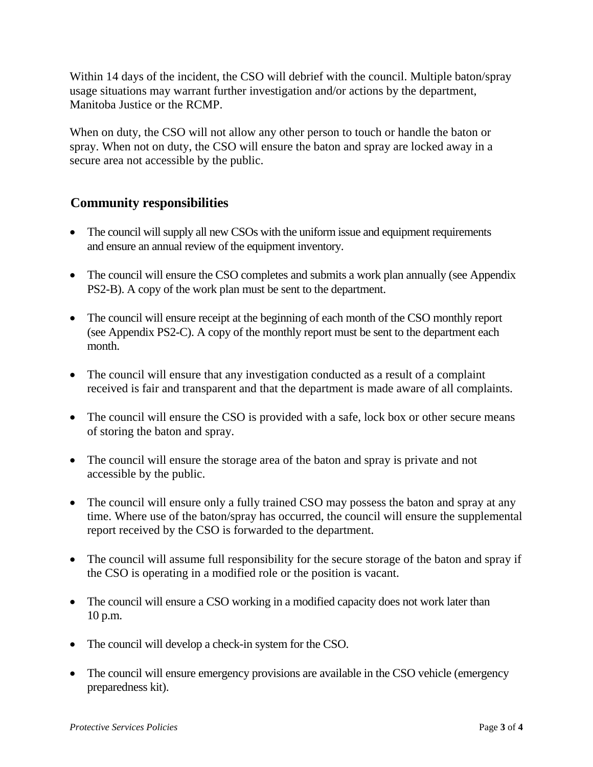Within 14 days of the incident, the CSO will debrief with the council. Multiple baton/spray usage situations may warrant further investigation and/or actions by the department, Manitoba Justice or the RCMP.

When on duty, the CSO will not allow any other person to touch or handle the baton or spray. When not on duty, the CSO will ensure the baton and spray are locked away in a secure area not accessible by the public.

## **Community responsibilities**

- The council will supply all new CSOs with the uniform issue and equipment requirements and ensure an annual review of the equipment inventory.
- The council will ensure the CSO completes and submits a work plan annually (see Appendix PS2-B). A copy of the work plan must be sent to the department.
- The council will ensure receipt at the beginning of each month of the CSO monthly report (see Appendix PS2-C). A copy of the monthly report must be sent to the department each month.
- The council will ensure that any investigation conducted as a result of a complaint received is fair and transparent and that the department is made aware of all complaints.
- The council will ensure the CSO is provided with a safe, lock box or other secure means of storing the baton and spray.
- The council will ensure the storage area of the baton and spray is private and not accessible by the public.
- The council will ensure only a fully trained CSO may possess the baton and spray at any time. Where use of the baton/spray has occurred, the council will ensure the supplemental report received by the CSO is forwarded to the department.
- The council will assume full responsibility for the secure storage of the baton and spray if the CSO is operating in a modified role or the position is vacant.
- The council will ensure a CSO working in a modified capacity does not work later than 10 p.m.
- The council will develop a check-in system for the CSO.
- The council will ensure emergency provisions are available in the CSO vehicle (emergency preparedness kit).